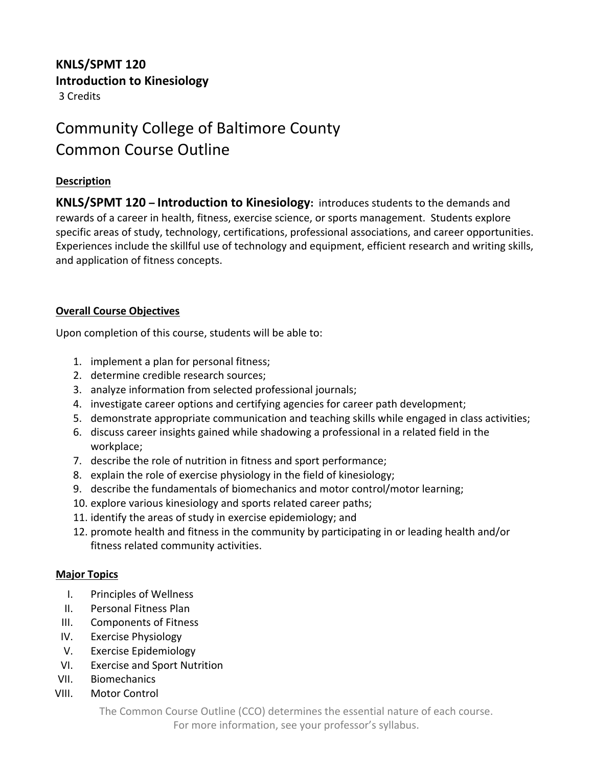## **KNLS/SPMT 120 Introduction to Kinesiology**

3 Credits

# Community College of Baltimore County Common Course Outline

## **Description**

**KNLS/SPMT 120 – Introduction to Kinesiology:** introduces students to the demands and rewards of a career in health, fitness, exercise science, or sports management. Students explore specific areas of study, technology, certifications, professional associations, and career opportunities. Experiences include the skillful use of technology and equipment, efficient research and writing skills, and application of fitness concepts.

### **Overall Course Objectives**

Upon completion of this course, students will be able to:

- 1. implement a plan for personal fitness;
- 2. determine credible research sources;
- 3. analyze information from selected professional journals;
- 4. investigate career options and certifying agencies for career path development;
- 5. demonstrate appropriate communication and teaching skills while engaged in class activities;
- 6. discuss career insights gained while shadowing a professional in a related field in the workplace;
- 7. describe the role of nutrition in fitness and sport performance;
- 8. explain the role of exercise physiology in the field of kinesiology;
- 9. describe the fundamentals of biomechanics and motor control/motor learning;
- 10. explore various kinesiology and sports related career paths;
- 11. identify the areas of study in exercise epidemiology; and
- 12. promote health and fitness in the community by participating in or leading health and/or fitness related community activities.

#### **Major Topics**

- I. Principles of Wellness
- II. Personal Fitness Plan
- III. Components of Fitness
- IV. Exercise Physiology
- V. Exercise Epidemiology
- VI. Exercise and Sport Nutrition
- VII. Biomechanics
- VIII. Motor Control

The Common Course Outline (CCO) determines the essential nature of each course.

For more information, see your professor's syllabus.